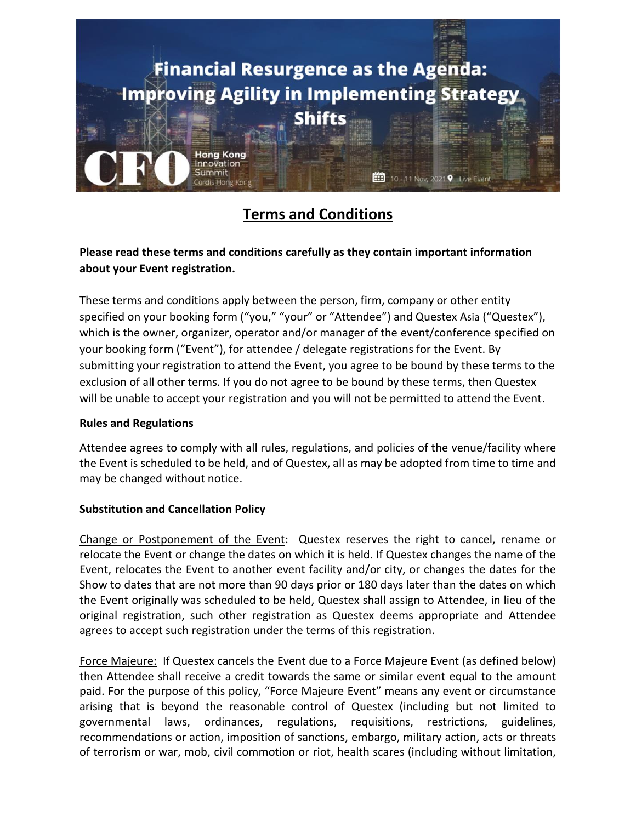

# **Terms and Conditions**

## **Please read these terms and conditions carefully as they contain important information about your Event registration.**

These terms and conditions apply between the person, firm, company or other entity specified on your booking form ("you," "your" or "Attendee") and Questex Asia ("Questex"), which is the owner, organizer, operator and/or manager of the event/conference specified on your booking form ("Event"), for attendee / delegate registrations for the Event. By submitting your registration to attend the Event, you agree to be bound by these terms to the exclusion of all other terms. If you do not agree to be bound by these terms, then Questex will be unable to accept your registration and you will not be permitted to attend the Event.

#### **Rules and Regulations**

Attendee agrees to comply with all rules, regulations, and policies of the venue/facility where the Event is scheduled to be held, and of Questex, all as may be adopted from time to time and may be changed without notice.

## **Substitution and Cancellation Policy**

Change or Postponement of the Event: Questex reserves the right to cancel, rename or relocate the Event or change the dates on which it is held. If Questex changes the name of the Event, relocates the Event to another event facility and/or city, or changes the dates for the Show to dates that are not more than 90 days prior or 180 days later than the dates on which the Event originally was scheduled to be held, Questex shall assign to Attendee, in lieu of the original registration, such other registration as Questex deems appropriate and Attendee agrees to accept such registration under the terms of this registration.

Force Majeure: If Questex cancels the Event due to a Force Majeure Event (as defined below) then Attendee shall receive a credit towards the same or similar event equal to the amount paid. For the purpose of this policy, "Force Majeure Event" means any event or circumstance arising that is beyond the reasonable control of Questex (including but not limited to governmental laws, ordinances, regulations, requisitions, restrictions, guidelines, recommendations or action, imposition of sanctions, embargo, military action, acts or threats of terrorism or war, mob, civil commotion or riot, health scares (including without limitation,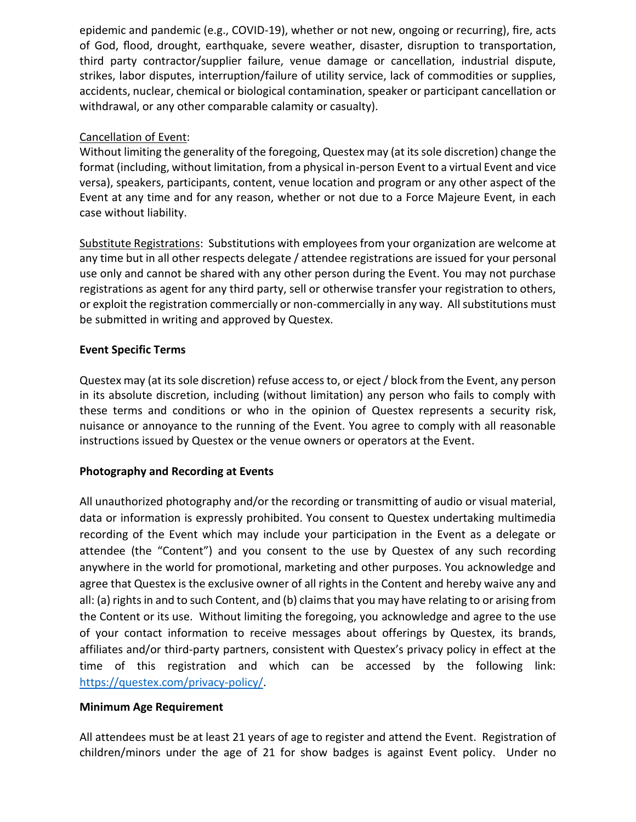epidemic and pandemic (e.g., COVID-19), whether or not new, ongoing or recurring), fire, acts of God, flood, drought, earthquake, severe weather, disaster, disruption to transportation, third party contractor/supplier failure, venue damage or cancellation, industrial dispute, strikes, labor disputes, interruption/failure of utility service, lack of commodities or supplies, accidents, nuclear, chemical or biological contamination, speaker or participant cancellation or withdrawal, or any other comparable calamity or casualty).

### Cancellation of Event:

Without limiting the generality of the foregoing, Questex may (at its sole discretion) change the format (including, without limitation, from a physical in-person Event to a virtual Event and vice versa), speakers, participants, content, venue location and program or any other aspect of the Event at any time and for any reason, whether or not due to a Force Majeure Event, in each case without liability.

Substitute Registrations: Substitutions with employees from your organization are welcome at any time but in all other respects delegate / attendee registrations are issued for your personal use only and cannot be shared with any other person during the Event. You may not purchase registrations as agent for any third party, sell or otherwise transfer your registration to others, or exploit the registration commercially or non-commercially in any way. All substitutions must be submitted in writing and approved by Questex.

### **Event Specific Terms**

Questex may (at its sole discretion) refuse access to, or eject / block from the Event, any person in its absolute discretion, including (without limitation) any person who fails to comply with these terms and conditions or who in the opinion of Questex represents a security risk, nuisance or annoyance to the running of the Event. You agree to comply with all reasonable instructions issued by Questex or the venue owners or operators at the Event.

## **Photography and Recording at Events**

All unauthorized photography and/or the recording or transmitting of audio or visual material, data or information is expressly prohibited. You consent to Questex undertaking multimedia recording of the Event which may include your participation in the Event as a delegate or attendee (the "Content") and you consent to the use by Questex of any such recording anywhere in the world for promotional, marketing and other purposes. You acknowledge and agree that Questex is the exclusive owner of all rights in the Content and hereby waive any and all: (a) rights in and to such Content, and (b) claims that you may have relating to or arising from the Content or its use. Without limiting the foregoing, you acknowledge and agree to the use of your contact information to receive messages about offerings by Questex, its brands, affiliates and/or third-party partners, consistent with Questex's privacy policy in effect at the time of this registration and which can be accessed by the following link: [https://questex.com/privacy-policy/.](https://questex.com/privacy-policy/)

#### **Minimum Age Requirement**

All attendees must be at least 21 years of age to register and attend the Event. Registration of children/minors under the age of 21 for show badges is against Event policy. Under no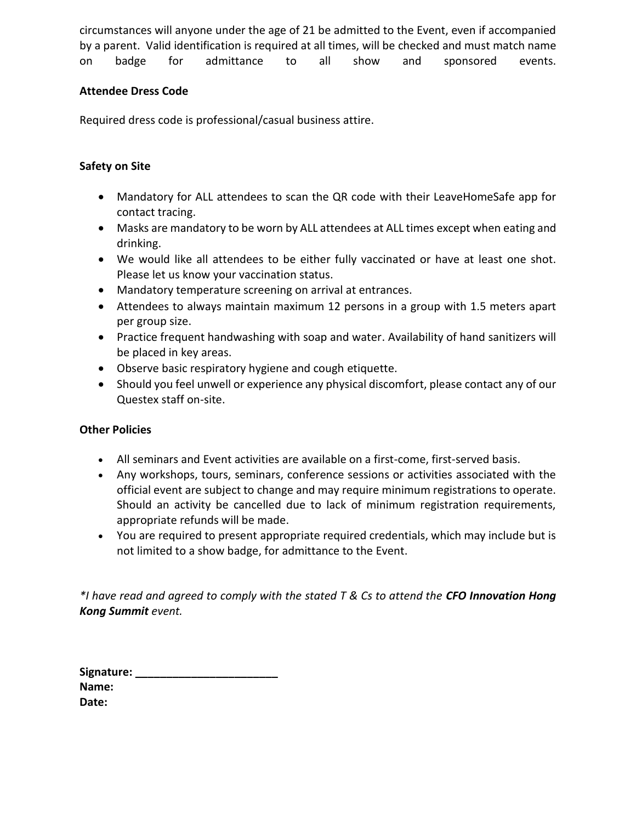circumstances will anyone under the age of 21 be admitted to the Event, even if accompanied by a parent. Valid identification is required at all times, will be checked and must match name on badge for admittance to all show and sponsored events.

### **Attendee Dress Code**

Required dress code is professional/casual business attire.

## **Safety on Site**

- Mandatory for ALL attendees to scan the QR code with their LeaveHomeSafe app for contact tracing.
- Masks are mandatory to be worn by ALL attendees at ALL times except when eating and drinking.
- We would like all attendees to be either fully vaccinated or have at least one shot. Please let us know your vaccination status.
- Mandatory temperature screening on arrival at entrances.
- Attendees to always maintain maximum 12 persons in a group with 1.5 meters apart per group size.
- Practice frequent handwashing with soap and water. Availability of hand sanitizers will be placed in key areas.
- Observe basic respiratory hygiene and cough etiquette.
- Should you feel unwell or experience any physical discomfort, please contact any of our Questex staff on-site.

## **Other Policies**

- All seminars and Event activities are available on a first-come, first-served basis.
- Any workshops, tours, seminars, conference sessions or activities associated with the official event are subject to change and may require minimum registrations to operate. Should an activity be cancelled due to lack of minimum registration requirements, appropriate refunds will be made.
- You are required to present appropriate required credentials, which may include but is not limited to a show badge, for admittance to the Event.

*\*I have read and agreed to comply with the stated T & Cs to attend the CFO Innovation Hong Kong Summit event.*

| Signature: |  |
|------------|--|
| Name:      |  |
| Date:      |  |